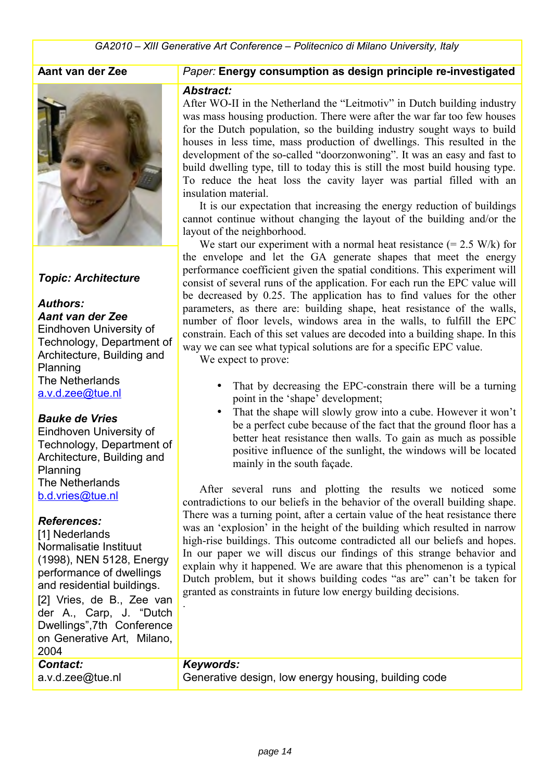## **Aant van der Zee**



## *Topic: Architecture*

#### *Authors:*

*Aant van der Zee*

Eindhoven University of Technology, Department of Architecture, Building and Planning The Netherlands [a.v.d.zee@tue.nl](mailto:a.v.d.zee@tue.nl) 

## *Bauke de Vries*

Eindhoven University of Technology, Department of Architecture, Building and Planning The Netherlands [b.d.vries@tue.nl](mailto:b.d.vries@tue.nl) 

#### *References:*

[1] Nederlands Normalisatie Instituut (1998), NEN 5128, Energy performance of dwellings and residential buildings.

[2] Vries, de B., Zee van der A., Carp, J. "Dutch Dwellings",7th Conference on Generative Art, Milano, 2004

#### *Paper:* **Energy consumption as design principle re-investigated**

#### *Abstract:*

After WO-II in the Netherland the "Leitmotiv" in Dutch building industry was mass housing production. There were after the war far too few houses for the Dutch population, so the building industry sought ways to build houses in less time, mass production of dwellings. This resulted in the development of the so-called "doorzonwoning". It was an easy and fast to build dwelling type, till to today this is still the most build housing type. To reduce the heat loss the cavity layer was partial filled with an insulation material.

It is our expectation that increasing the energy reduction of buildings cannot continue without changing the layout of the building and/or the layout of the neighborhood.

We start our experiment with a normal heat resistance  $(= 2.5 \text{ W/k})$  for the envelope and let the GA generate shapes that meet the energy performance coefficient given the spatial conditions. This experiment will consist of several runs of the application. For each run the EPC value will be decreased by 0.25. The application has to find values for the other parameters, as there are: building shape, heat resistance of the walls, number of floor levels, windows area in the walls, to fulfill the EPC constrain. Each of this set values are decoded into a building shape. In this way we can see what typical solutions are for a specific EPC value.

We expect to prove:

- That by decreasing the EPC-constrain there will be a turning point in the 'shape' development;
- That the shape will slowly grow into a cube. However it won't be a perfect cube because of the fact that the ground floor has a better heat resistance then walls. To gain as much as possible positive influence of the sunlight, the windows will be located mainly in the south façade.

After several runs and plotting the results we noticed some contradictions to our beliefs in the behavior of the overall building shape. There was a turning point, after a certain value of the heat resistance there was an 'explosion' in the height of the building which resulted in narrow high-rise buildings. This outcome contradicted all our beliefs and hopes. In our paper we will discus our findings of this strange behavior and explain why it happened. We are aware that this phenomenon is a typical Dutch problem, but it shows building codes "as are" can't be taken for granted as constraints in future low energy building decisions.

## *Contact: Keywords:*

.

a.v.d.zee@tue.nl Generative design, low energy housing, building code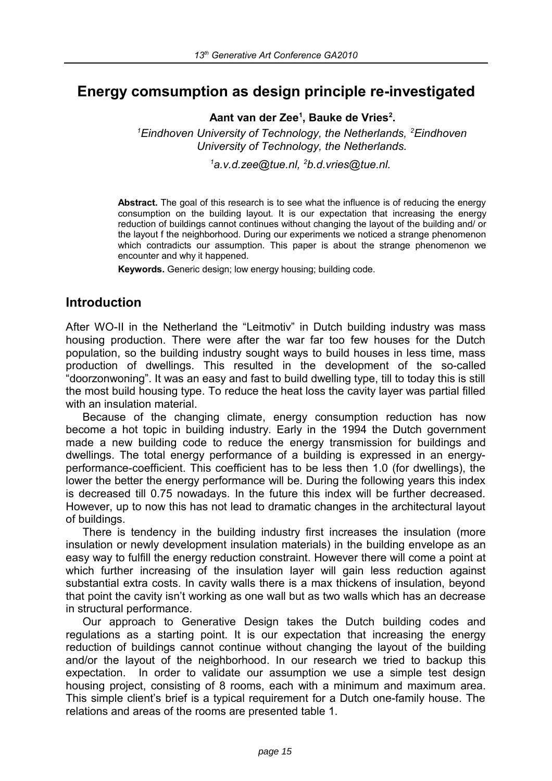# **Energy comsumption as design principle re-investigated**

**Aant van der Zee1 , Bauke de Vries2 .** 

<sup>1</sup> Eindhoven University of Technology, the Netherlands, <sup>2</sup> Eindhoven *University of Technology, the Netherlands.* 

*1 a.v.d.zee@tue.nl, 2 b.d.vries@tue.nl.* 

**Abstract.** The goal of this research is to see what the influence is of reducing the energy consumption on the building layout. It is our expectation that increasing the energy reduction of buildings cannot continues without changing the layout of the building and/ or the layout f the neighborhood. During our experiments we noticed a strange phenomenon which contradicts our assumption. This paper is about the strange phenomenon we encounter and why it happened.

**Keywords.** Generic design; low energy housing; building code.

# **Introduction**

After WO-II in the Netherland the "Leitmotiv" in Dutch building industry was mass housing production. There were after the war far too few houses for the Dutch population, so the building industry sought ways to build houses in less time, mass production of dwellings. This resulted in the development of the so-called "doorzonwoning". It was an easy and fast to build dwelling type, till to today this is still the most build housing type. To reduce the heat loss the cavity layer was partial filled with an insulation material.

Because of the changing climate, energy consumption reduction has now become a hot topic in building industry. Early in the 1994 the Dutch government made a new building code to reduce the energy transmission for buildings and dwellings. The total energy performance of a building is expressed in an energyperformance-coefficient. This coefficient has to be less then 1.0 (for dwellings), the lower the better the energy performance will be. During the following years this index is decreased till 0.75 nowadays. In the future this index will be further decreased. However, up to now this has not lead to dramatic changes in the architectural layout of buildings.

There is tendency in the building industry first increases the insulation (more insulation or newly development insulation materials) in the building envelope as an easy way to fulfill the energy reduction constraint. However there will come a point at which further increasing of the insulation layer will gain less reduction against substantial extra costs. In cavity walls there is a max thickens of insulation, beyond that point the cavity isn't working as one wall but as two walls which has an decrease in structural performance.

Our approach to Generative Design takes the Dutch building codes and regulations as a starting point. It is our expectation that increasing the energy reduction of buildings cannot continue without changing the layout of the building and/or the layout of the neighborhood. In our research we tried to backup this expectation. In order to validate our assumption we use a simple test design housing project, consisting of 8 rooms, each with a minimum and maximum area. This simple client's brief is a typical requirement for a Dutch one-family house. The relations and areas of the rooms are presented table 1.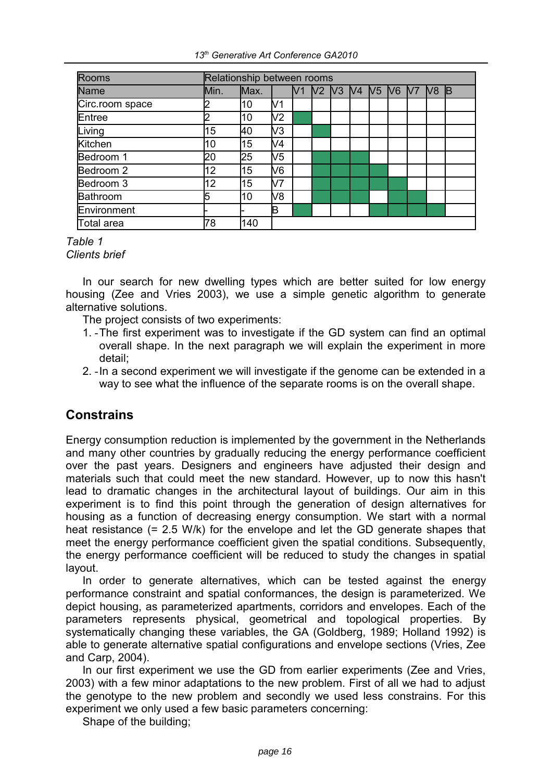| <b>Rooms</b>    | Relationship between rooms |      |     |                      |  |  |  |                 |           |
|-----------------|----------------------------|------|-----|----------------------|--|--|--|-----------------|-----------|
| Name            | Min.                       | Max. |     | V1 V2 V3 V4 V5 V6 V7 |  |  |  | IV <sub>8</sub> | <b>IB</b> |
| Circ.room space | 2                          | 10   | V1  |                      |  |  |  |                 |           |
| Entree          | 2                          | 10   | V2  |                      |  |  |  |                 |           |
| Living          | 15                         | 40   | V3  |                      |  |  |  |                 |           |
| Kitchen         | 10                         | 15   | V4  |                      |  |  |  |                 |           |
| Bedroom 1       | 20                         | 25   | V5  |                      |  |  |  |                 |           |
| Bedroom 2       | 12                         | 15   | V6  |                      |  |  |  |                 |           |
| Bedroom 3       | 12                         | 15   | lV7 |                      |  |  |  |                 |           |
| Bathroom        | 5                          | 10   | V8  |                      |  |  |  |                 |           |
| Environment     |                            |      | ΙB  |                      |  |  |  |                 |           |
| Total area      | 78                         | 140  |     |                      |  |  |  |                 |           |

#### *Table 1 Clients brief*

In our search for new dwelling types which are better suited for low energy housing (Zee and Vries 2003), we use a simple genetic algorithm to generate alternative solutions.

The project consists of two experiments:

- 1. The first experiment was to investigate if the GD system can find an optimal overall shape. In the next paragraph we will explain the experiment in more detail;
- 2. In a second experiment we will investigate if the genome can be extended in a way to see what the influence of the separate rooms is on the overall shape.

# **Constrains**

Energy consumption reduction is implemented by the government in the Netherlands and many other countries by gradually reducing the energy performance coefficient over the past years. Designers and engineers have adjusted their design and materials such that could meet the new standard. However, up to now this hasn't lead to dramatic changes in the architectural layout of buildings. Our aim in this experiment is to find this point through the generation of design alternatives for housing as a function of decreasing energy consumption. We start with a normal heat resistance (= 2.5 W/k) for the envelope and let the GD generate shapes that meet the energy performance coefficient given the spatial conditions. Subsequently, the energy performance coefficient will be reduced to study the changes in spatial layout.

In order to generate alternatives, which can be tested against the energy performance constraint and spatial conformances, the design is parameterized. We depict housing, as parameterized apartments, corridors and envelopes. Each of the parameters represents physical, geometrical and topological properties. By systematically changing these variables, the GA (Goldberg, 1989; Holland 1992) is able to generate alternative spatial configurations and envelope sections (Vries, Zee and Carp, 2004).

In our first experiment we use the GD from earlier experiments (Zee and Vries, 2003) with a few minor adaptations to the new problem. First of all we had to adjust the genotype to the new problem and secondly we used less constrains. For this experiment we only used a few basic parameters concerning:

Shape of the building;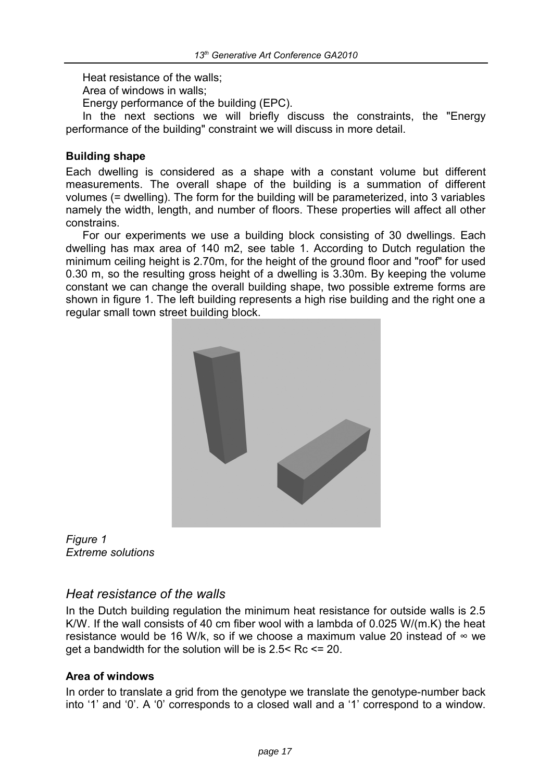Heat resistance of the walls;

Area of windows in walls;

Energy performance of the building (EPC).

In the next sections we will briefly discuss the constraints, the "Energy performance of the building" constraint we will discuss in more detail.

## **Building shape**

Each dwelling is considered as a shape with a constant volume but different measurements. The overall shape of the building is a summation of different volumes (= dwelling). The form for the building will be parameterized, into 3 variables namely the width, length, and number of floors. These properties will affect all other constrains.

For our experiments we use a building block consisting of 30 dwellings. Each dwelling has max area of 140 m2, see table 1. According to Dutch regulation the minimum ceiling height is 2.70m, for the height of the ground floor and "roof" for used 0.30 m, so the resulting gross height of a dwelling is 3.30m. By keeping the volume constant we can change the overall building shape, two possible extreme forms are shown in figure 1. The left building represents a high rise building and the right one a regular small town street building block.



*Figure 1 Extreme solutions* 

# *Heat resistance of the walls*

In the Dutch building regulation the minimum heat resistance for outside walls is 2.5 K/W. If the wall consists of 40 cm fiber wool with a lambda of 0.025 W/(m.K) the heat resistance would be 16 W/k, so if we choose a maximum value 20 instead of  $\infty$  we get a bandwidth for the solution will be is 2.5< Rc <= 20.

## **Area of windows**

In order to translate a grid from the genotype we translate the genotype-number back into '1' and '0'. A '0' corresponds to a closed wall and a '1' correspond to a window.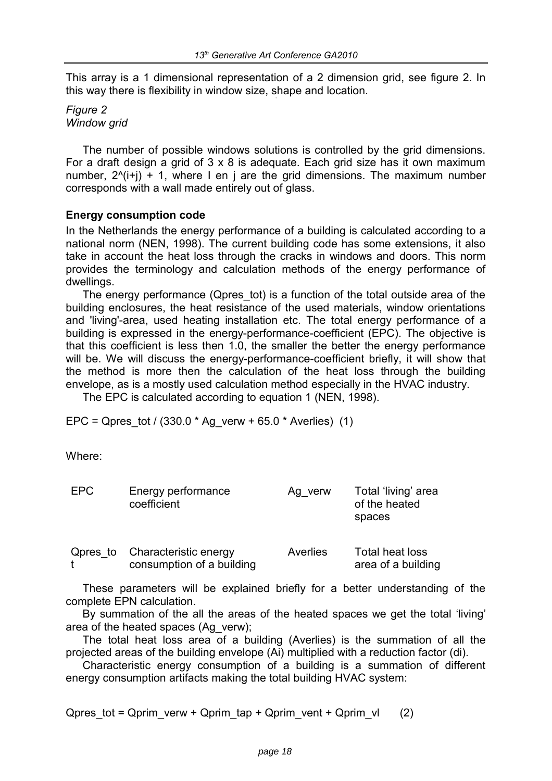This array is a 1 dimensional representation of a 2 dimension grid, see figure 2. In this way there is flexibility in window size, shape and location.

*Figure 2 Window grid* 

The number of possible windows solutions is controlled by the grid dimensions. For a draft design a grid of 3 x 8 is adequate. Each grid size has it own maximum number,  $2^{(i+1)} + 1$ , where I en j are the grid dimensions. The maximum number corresponds with a wall made entirely out of glass.

## **Energy consumption code**

In the Netherlands the energy performance of a building is calculated according to a national norm (NEN, 1998). The current building code has some extensions, it also take in account the heat loss through the cracks in windows and doors. This norm provides the terminology and calculation methods of the energy performance of dwellings.

The energy performance (Qpres tot) is a function of the total outside area of the building enclosures, the heat resistance of the used materials, window orientations and 'living'-area, used heating installation etc. The total energy performance of a building is expressed in the energy-performance-coefficient (EPC). The objective is that this coefficient is less then 1.0, the smaller the better the energy performance will be. We will discuss the energy-performance-coefficient briefly, it will show that the method is more then the calculation of the heat loss through the building envelope, as is a mostly used calculation method especially in the HVAC industry.

The EPC is calculated according to equation 1 (NEN, 1998).

EPC = Qpres tot / (330.0  $*$  Ag verw + 65.0  $*$  Averlies) (1)

Where:

| <b>EPC</b> | Energy performance<br>coefficient                  | Ag verw  | Total 'living' area<br>of the heated<br>spaces |
|------------|----------------------------------------------------|----------|------------------------------------------------|
| Qpres to   | Characteristic energy<br>consumption of a building | Averlies | Total heat loss<br>area of a building          |

These parameters will be explained briefly for a better understanding of the complete EPN calculation.

By summation of the all the areas of the heated spaces we get the total 'living' area of the heated spaces (Ag\_verw);

The total heat loss area of a building (Averlies) is the summation of all the projected areas of the building envelope (Ai) multiplied with a reduction factor (di).

Characteristic energy consumption of a building is a summation of different energy consumption artifacts making the total building HVAC system:

Qpres tot = Qprim\_verw + Qprim\_tap + Qprim\_vent + Qprim\_vl  $(2)$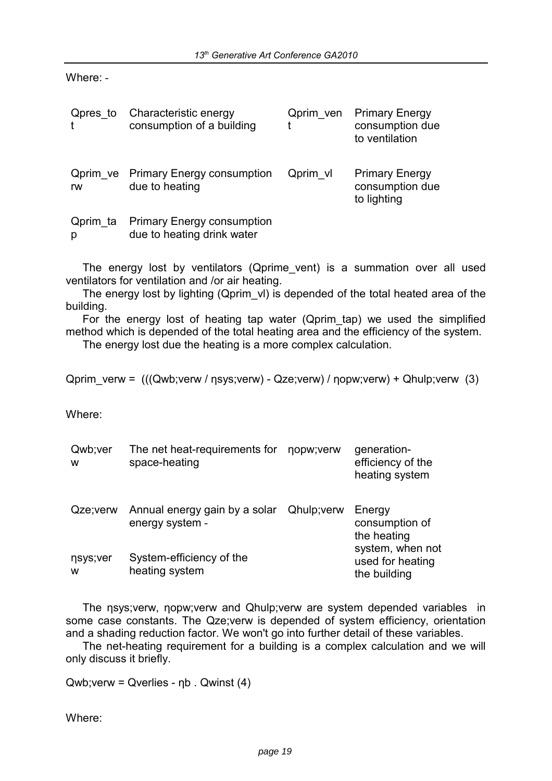Where: -

| Qpres to      | Characteristic energy<br>consumption of a building              | Qprim ven | <b>Primary Energy</b><br>consumption due<br>to ventilation |
|---------------|-----------------------------------------------------------------|-----------|------------------------------------------------------------|
| rw            | <b>Qprim ve</b> Primary Energy consumption<br>due to heating    | Qprim vl  | <b>Primary Energy</b><br>consumption due<br>to lighting    |
| Qprim ta<br>р | <b>Primary Energy consumption</b><br>due to heating drink water |           |                                                            |

The energy lost by ventilators (Qprime vent) is a summation over all used ventilators for ventilation and /or air heating.

The energy lost by lighting (Qprim vI) is depended of the total heated area of the building.

For the energy lost of heating tap water (Qprim\_tap) we used the simplified method which is depended of the total heating area and the efficiency of the system.

The energy lost due the heating is a more complex calculation.

Qprim\_verw = (((Qwb;verw / ηsys;verw) - Qze;verw) / ηopw;verw) + Qhulp;verw (3)

Where:

| Qwb;ver<br>W  | The net heat-requirements for<br>space-heating               | nopw; verw | generation-<br>efficiency of the<br>heating system   |
|---------------|--------------------------------------------------------------|------------|------------------------------------------------------|
| Qze;verw      | Annual energy gain by a solar Qhulp; verw<br>energy system - |            | Energy<br>consumption of<br>the heating              |
| nsys;ver<br>w | System-efficiency of the<br>heating system                   |            | system, when not<br>used for heating<br>the building |

The nsys; verw, nopw; verw and Qhulp; verw are system depended variables in some case constants. The Qze;verw is depended of system efficiency, orientation and a shading reduction factor. We won't go into further detail of these variables.

The net-heating requirement for a building is a complex calculation and we will only discuss it briefly.

Qwb;verw = Qverlies - ηb . Qwinst (4)

Where: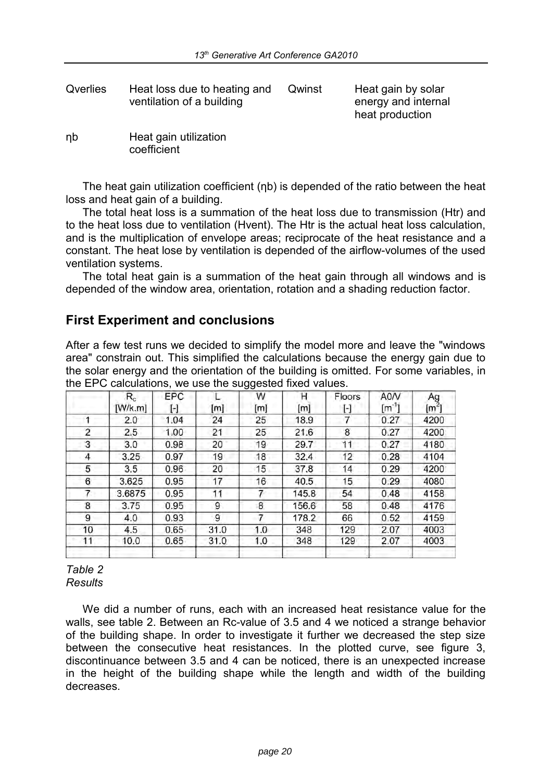Qverlies Heat loss due to heating and ventilation of a building

Qwinst Heat gain by solar energy and internal heat production

ηb Heat gain utilization coefficient

The heat gain utilization coefficient (ηb) is depended of the ratio between the heat loss and heat gain of a building.

The total heat loss is a summation of the heat loss due to transmission (Htr) and to the heat loss due to ventilation (Hvent). The Htr is the actual heat loss calculation, and is the multiplication of envelope areas; reciprocate of the heat resistance and a constant. The heat lose by ventilation is depended of the airflow-volumes of the used ventilation systems.

The total heat gain is a summation of the heat gain through all windows and is depended of the window area, orientation, rotation and a shading reduction factor.

# **First Experiment and conclusions**

After a few test runs we decided to simplify the model more and leave the "windows area" constrain out. This simplified the calculations because the energy gain due to the solar energy and the orientation of the building is omitted. For some variables, in the EPC calculations, we use the suggested fixed values.

|    | $\mathsf{R}_{\mathrm{c}}$<br>[W/k.m] | EPC<br>H | [m]  | w<br>[m] | н<br>[m] | Floors<br>H              | A0/V<br>$\mathfrak{[m^{\cdot}}]$ | Ag<br>$\left[\text{m}^2\right]$ |
|----|--------------------------------------|----------|------|----------|----------|--------------------------|----------------------------------|---------------------------------|
|    | 2.0                                  | 1.04     | 24   | 25       | 18.9     | $\overline{\phantom{a}}$ | 0.27                             | 4200                            |
| 2  | 2.5                                  | 1.00     | 21   | 25       | 21.6     | 8                        | 0.27                             | 4200                            |
| 3  | 3.0                                  | 0.98     | 20   | 19       | 29.7     | 11                       | 0.27                             | 4180                            |
| 4  | 3.25                                 | 0.97     | 19   | 18       | 32.4     | 12                       | 0.28                             | 4104                            |
| 5  | 3.5                                  | 0.96     | 20   | 15       | 37.8     | 14                       | 0.29                             | 4200                            |
| 6  | 3.625                                | 0.95     | 17   | 16       | 40.5     | 15                       | 0.29                             | 4080                            |
| 7  | 3.6875                               | 0.95     | 11   | 7        | 145.8    | 54                       | 0.48                             | 4158                            |
| 8  | 3.75                                 | 0.95     | 9    | 8        | 156.6    | 58                       | 0.48                             | 4176                            |
| 9  | 4.0                                  | 0.93     | 9    | 7        | 178.2    | 66                       | 0.52                             | 4159                            |
| 10 | 4.5                                  | 0.65     | 31.0 | 1.0      | 348      | 129                      | 2.07                             | 4003                            |
| 11 | 10.0                                 | 0.65     | 31.0 | 1.0      | 348      | 129                      | 2.07                             | 4003                            |
|    |                                      |          |      |          |          |                          |                                  |                                 |

*Table 2 Results* 

We did a number of runs, each with an increased heat resistance value for the walls, see table 2. Between an Rc-value of 3.5 and 4 we noticed a strange behavior of the building shape. In order to investigate it further we decreased the step size between the consecutive heat resistances. In the plotted curve, see figure 3, discontinuance between 3.5 and 4 can be noticed, there is an unexpected increase in the height of the building shape while the length and width of the building decreases.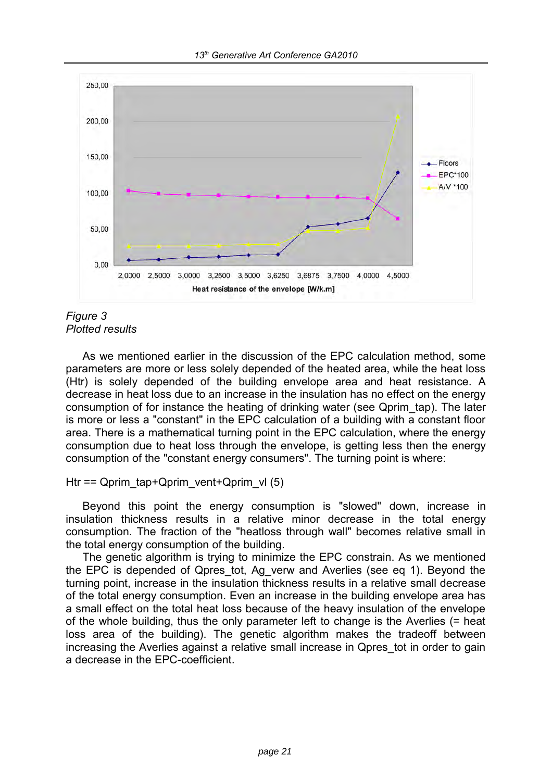

## *Figure 3 Plotted results*

As we mentioned earlier in the discussion of the EPC calculation method, some parameters are more or less solely depended of the heated area, while the heat loss (Htr) is solely depended of the building envelope area and heat resistance. A decrease in heat loss due to an increase in the insulation has no effect on the energy consumption of for instance the heating of drinking water (see Qprim\_tap). The later is more or less a "constant" in the EPC calculation of a building with a constant floor area. There is a mathematical turning point in the EPC calculation, where the energy consumption due to heat loss through the envelope, is getting less then the energy consumption of the "constant energy consumers". The turning point is where:

## Htr == Qprim\_tap+Qprim\_vent+Qprim\_vl  $(5)$

Beyond this point the energy consumption is "slowed" down, increase in insulation thickness results in a relative minor decrease in the total energy consumption. The fraction of the "heatloss through wall" becomes relative small in the total energy consumption of the building.

The genetic algorithm is trying to minimize the EPC constrain. As we mentioned the EPC is depended of Qpres tot, Ag verw and Averlies (see eq 1). Beyond the turning point, increase in the insulation thickness results in a relative small decrease of the total energy consumption. Even an increase in the building envelope area has a small effect on the total heat loss because of the heavy insulation of the envelope of the whole building, thus the only parameter left to change is the Averlies (= heat loss area of the building). The genetic algorithm makes the tradeoff between increasing the Averlies against a relative small increase in Qpres tot in order to gain a decrease in the EPC-coefficient.